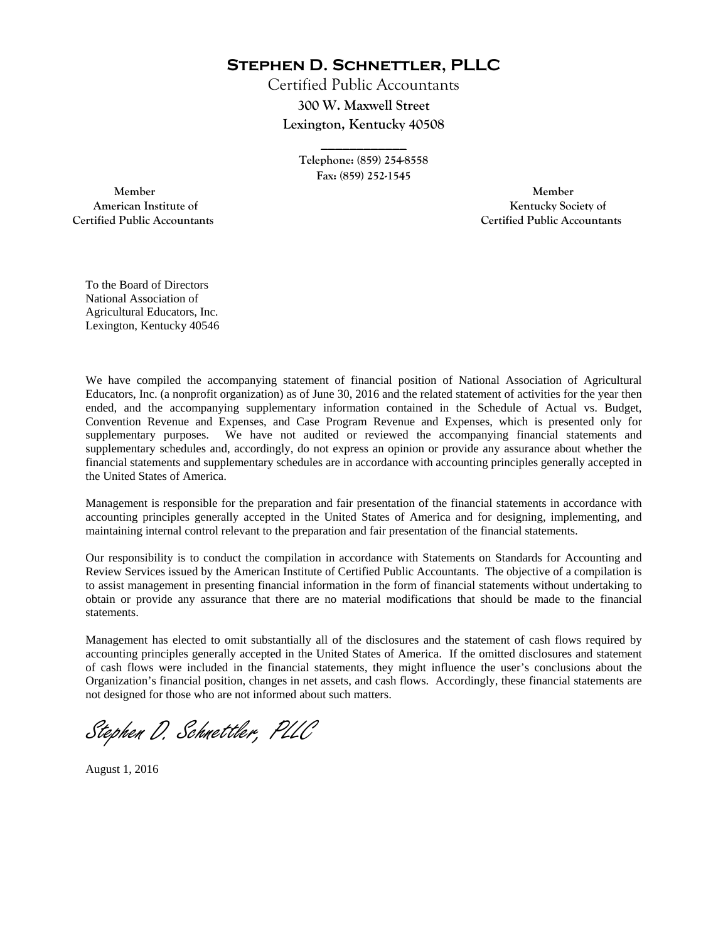**Stephen D. Schnettler, PLLC**

Certified Public Accountants **300 W. Maxwell Street Lexington, Kentucky 40508** 

> **Telephone: (859) 254-8558 Fax: (859) 252-1545**

**\_\_\_\_\_\_\_\_\_\_\_\_** 

 **Member Member Certified Public Accountants Certified Public Accountants** 

American Institute of **Kentucky Society of** 

To the Board of Directors National Association of Agricultural Educators, Inc. Lexington, Kentucky 40546

We have compiled the accompanying statement of financial position of National Association of Agricultural Educators, Inc. (a nonprofit organization) as of June 30, 2016 and the related statement of activities for the year then ended, and the accompanying supplementary information contained in the Schedule of Actual vs. Budget, Convention Revenue and Expenses, and Case Program Revenue and Expenses, which is presented only for supplementary purposes. We have not audited or reviewed the accompanying financial statements and supplementary schedules and, accordingly, do not express an opinion or provide any assurance about whether the financial statements and supplementary schedules are in accordance with accounting principles generally accepted in the United States of America.

Management is responsible for the preparation and fair presentation of the financial statements in accordance with accounting principles generally accepted in the United States of America and for designing, implementing, and maintaining internal control relevant to the preparation and fair presentation of the financial statements.

Our responsibility is to conduct the compilation in accordance with Statements on Standards for Accounting and Review Services issued by the American Institute of Certified Public Accountants. The objective of a compilation is to assist management in presenting financial information in the form of financial statements without undertaking to obtain or provide any assurance that there are no material modifications that should be made to the financial statements.

Management has elected to omit substantially all of the disclosures and the statement of cash flows required by accounting principles generally accepted in the United States of America. If the omitted disclosures and statement of cash flows were included in the financial statements, they might influence the user's conclusions about the Organization's financial position, changes in net assets, and cash flows. Accordingly, these financial statements are not designed for those who are not informed about such matters.

Stephen D. Schnettler, PLLC

August 1, 2016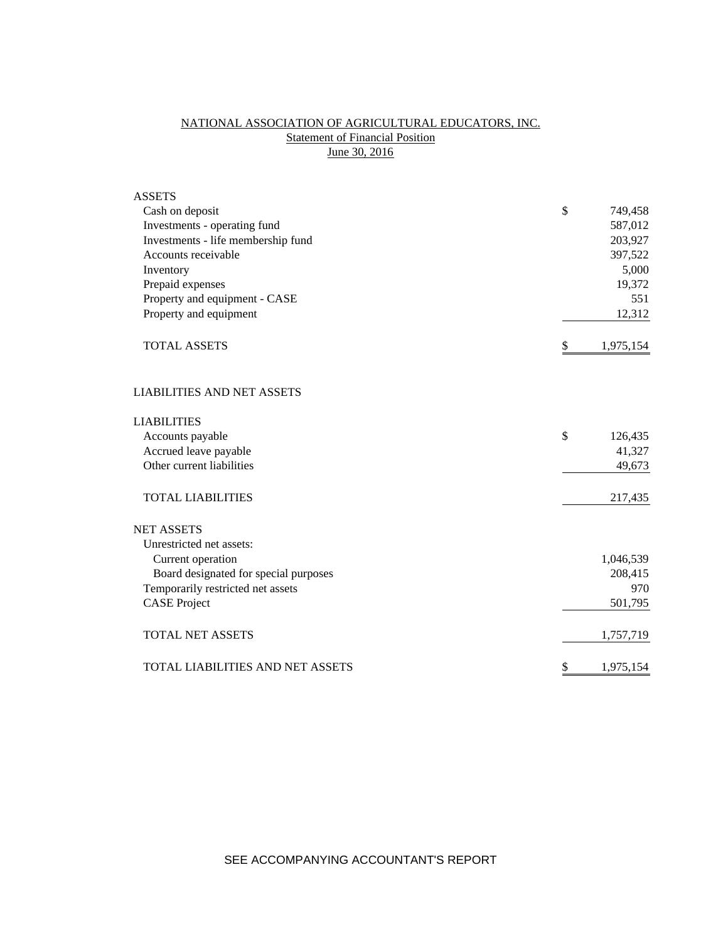# NATIONAL ASSOCIATION OF AGRICULTURAL EDUCATORS, INC. **Statement of Financial Position** June 30, 2016

| <b>ASSETS</b>                           |                 |
|-----------------------------------------|-----------------|
| Cash on deposit                         | \$<br>749,458   |
| Investments - operating fund            | 587,012         |
| Investments - life membership fund      | 203,927         |
| Accounts receivable                     | 397,522         |
| Inventory                               | 5,000           |
| Prepaid expenses                        | 19,372          |
| Property and equipment - CASE           | 551             |
| Property and equipment                  | 12,312          |
| <b>TOTAL ASSETS</b>                     | \$<br>1,975,154 |
| <b>LIABILITIES AND NET ASSETS</b>       |                 |
| <b>LIABILITIES</b>                      |                 |
| Accounts payable                        | \$<br>126,435   |
| Accrued leave payable                   | 41,327          |
| Other current liabilities               | 49,673          |
| <b>TOTAL LIABILITIES</b>                | 217,435         |
| <b>NET ASSETS</b>                       |                 |
| Unrestricted net assets:                |                 |
| Current operation                       | 1,046,539       |
| Board designated for special purposes   | 208,415         |
| Temporarily restricted net assets       | 970             |
| <b>CASE Project</b>                     | 501,795         |
| <b>TOTAL NET ASSETS</b>                 | 1,757,719       |
| <b>TOTAL LIABILITIES AND NET ASSETS</b> | \$<br>1,975,154 |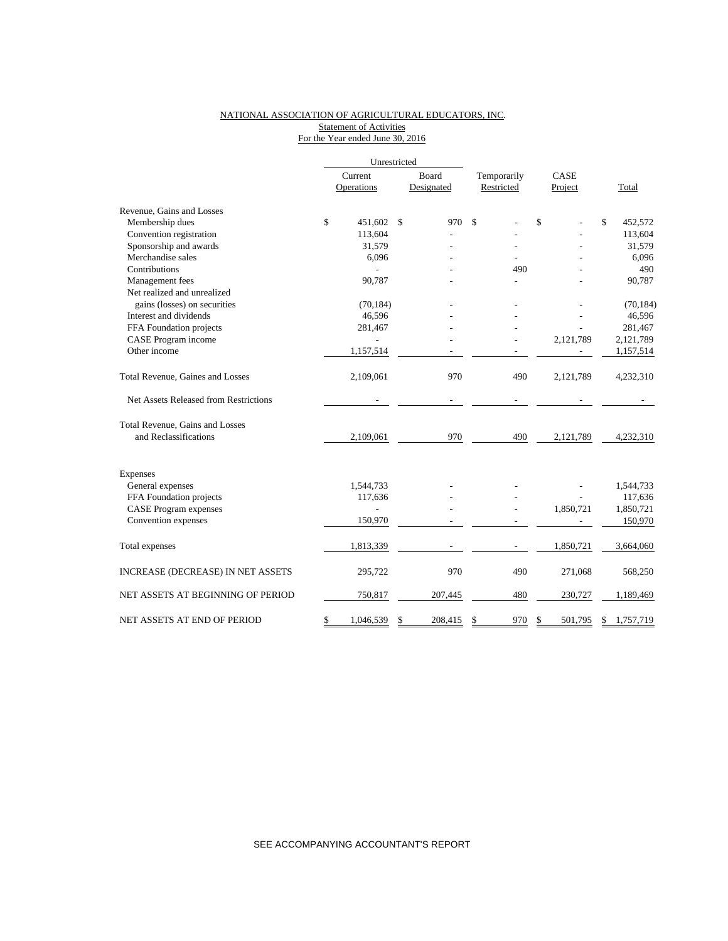### NATIONAL ASSOCIATION OF AGRICULTURAL EDUCATORS, INC. Statement of Activities For the Year ended June 30, 2016

|                                       |         | Unrestricted |               |            |             |    |           |    |           |
|---------------------------------------|---------|--------------|---------------|------------|-------------|----|-----------|----|-----------|
|                                       | Current |              | <b>Board</b>  |            | Temporarily |    | CASE      |    |           |
|                                       |         | Operations   |               | Designated | Restricted  |    | Project   |    | Total     |
| Revenue, Gains and Losses             |         |              |               |            |             |    |           |    |           |
| Membership dues                       | \$      | 451,602      | $\mathbb{S}$  | 970        | \$          | \$ |           | \$ | 452,572   |
| Convention registration               |         | 113,604      |               |            |             |    |           |    | 113,604   |
| Sponsorship and awards                |         | 31,579       |               |            |             |    |           |    | 31,579    |
| Merchandise sales                     |         | 6,096        |               |            |             |    |           |    | 6,096     |
| Contributions                         |         |              |               |            | 490         |    |           |    | 490       |
| Management fees                       |         | 90,787       |               |            |             |    |           |    | 90,787    |
| Net realized and unrealized           |         |              |               |            |             |    |           |    |           |
| gains (losses) on securities          |         | (70, 184)    |               |            |             |    |           |    | (70, 184) |
| Interest and dividends                |         | 46,596       |               |            |             |    |           |    | 46,596    |
| FFA Foundation projects               |         | 281,467      |               |            |             |    |           |    | 281,467   |
| CASE Program income                   |         |              |               |            |             |    | 2,121,789 |    | 2,121,789 |
| Other income                          |         | 1,157,514    |               |            |             |    |           |    | 1,157,514 |
| Total Revenue, Gaines and Losses      |         | 2,109,061    |               | 970        | 490         |    | 2,121,789 |    | 4,232,310 |
| Net Assets Released from Restrictions |         |              |               |            |             |    |           |    |           |
| Total Revenue, Gains and Losses       |         |              |               |            |             |    |           |    |           |
| and Reclassifications                 |         | 2,109,061    |               | 970        | 490         |    | 2,121,789 |    | 4,232,310 |
| Expenses                              |         |              |               |            |             |    |           |    |           |
| General expenses                      |         | 1,544,733    |               |            |             |    |           |    | 1,544,733 |
| FFA Foundation projects               |         | 117,636      |               |            |             |    |           |    | 117,636   |
| <b>CASE Program expenses</b>          |         |              |               |            |             |    | 1,850,721 |    | 1,850,721 |
| Convention expenses                   |         | 150,970      |               |            |             |    |           |    | 150,970   |
| Total expenses                        |         | 1,813,339    |               |            |             |    | 1,850,721 |    | 3,664,060 |
| INCREASE (DECREASE) IN NET ASSETS     |         | 295,722      |               | 970        | 490         |    | 271,068   |    | 568,250   |
| NET ASSETS AT BEGINNING OF PERIOD     |         | 750,817      |               | 207,445    | 480         |    | 230,727   |    | 1,189,469 |
| NET ASSETS AT END OF PERIOD           | \$      | 1,046,539    | <sup>\$</sup> | 208,415    | \$<br>970   | \$ | 501.795   | S  | 1.757.719 |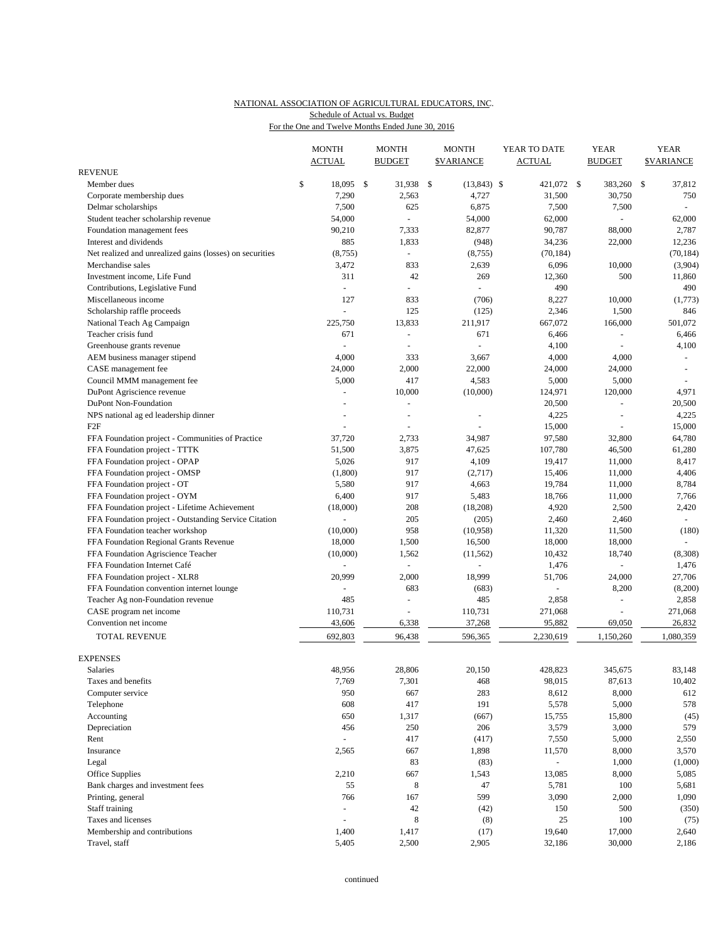### NATIONAL ASSOCIATION OF AGRICULTURAL EDUCATORS, INC. For the One and Twelve Months Ended June 30, 2016 Schedule of Actual vs. Budget

|                                                          | <b>MONTH</b>    | <b>MONTH</b>             | <b>MONTH</b>            | YEAR TO DATE   | <b>YEAR</b>              | <b>YEAR</b>              |
|----------------------------------------------------------|-----------------|--------------------------|-------------------------|----------------|--------------------------|--------------------------|
| <b>REVENUE</b>                                           | <b>ACTUAL</b>   | <b>BUDGET</b>            | <b><i>SVARIANCE</i></b> | <b>ACTUAL</b>  | <b>BUDGET</b>            | <b>SVARIANCE</b>         |
| Member dues                                              | \$<br>18,095 \$ | 31,938                   | \$<br>$(13,843)$ \$     | 421,072 \$     | 383,260                  | \$<br>37,812             |
| Corporate membership dues                                | 7,290           | 2,563                    | 4,727                   | 31,500         | 30,750                   | 750                      |
| Delmar scholarships                                      | 7,500           | 625                      | 6,875                   | 7,500          | 7,500                    | $\omega$                 |
| Student teacher scholarship revenue                      | 54,000          | $\sim$                   | 54,000                  | 62,000         | $\overline{\phantom{a}}$ | 62,000                   |
| Foundation management fees                               | 90,210          | 7,333                    | 82,877                  | 90,787         | 88,000                   | 2,787                    |
| Interest and dividends                                   | 885             | 1,833                    | (948)                   | 34,236         | 22,000                   | 12,236                   |
| Net realized and unrealized gains (losses) on securities | (8,755)         | $\omega$                 | (8,755)                 | (70, 184)      |                          | (70, 184)                |
| Merchandise sales                                        | 3,472           | 833                      | 2,639                   | 6,096          | 10,000                   | (3,904)                  |
| Investment income, Life Fund                             | 311             | 42                       | 269                     | 12,360         | 500                      | 11,860                   |
| Contributions, Legislative Fund                          | $\omega$        | $\overline{\phantom{a}}$ | ÷.                      | 490            |                          | 490                      |
| Miscellaneous income                                     | 127             | 833                      | (706)                   | 8,227          | 10,000                   | (1,773)                  |
| Scholarship raffle proceeds                              | $\omega$        | 125                      | (125)                   | 2,346          | 1,500                    | 846                      |
|                                                          | 225,750         | 13,833                   | 211,917                 | 667,072        | 166,000                  | 501,072                  |
| National Teach Ag Campaign                               | 671             | $\omega$                 | 671                     |                | ÷,                       |                          |
| Teacher crisis fund                                      | $\overline{a}$  |                          | $\overline{a}$          | 6,466          |                          | 6,466                    |
| Greenhouse grants revenue                                |                 |                          |                         | 4,100          |                          | 4,100                    |
| AEM business manager stipend                             | 4,000           | 333                      | 3,667                   | 4,000          | 4,000                    | $\sim$                   |
| CASE management fee                                      | 24,000          | 2,000                    | 22,000                  | 24,000         | 24,000                   | $\overline{\phantom{a}}$ |
| Council MMM management fee                               | 5,000           | 417                      | 4,583                   | 5,000          | 5,000                    |                          |
| DuPont Agriscience revenue                               | L,              | 10,000                   | (10,000)                | 124,971        | 120,000                  | 4,971                    |
| DuPont Non-Foundation                                    |                 | ÷,                       |                         | 20,500         | L.                       | 20,500                   |
| NPS national ag ed leadership dinner                     |                 | $\blacksquare$           |                         | 4,225          | $\sim$                   | 4,225                    |
| F <sub>2F</sub>                                          | L.              |                          |                         | 15,000         |                          | 15,000                   |
| FFA Foundation project - Communities of Practice         | 37,720          | 2,733                    | 34,987                  | 97,580         | 32,800                   | 64,780                   |
| FFA Foundation project - TTTK                            | 51,500          | 3,875                    | 47,625                  | 107,780        | 46,500                   | 61,280                   |
| FFA Foundation project - OPAP                            | 5,026           | 917                      | 4,109                   | 19,417         | 11,000                   | 8,417                    |
| FFA Foundation project - OMSP                            | (1,800)         | 917                      | (2,717)                 | 15,406         | 11,000                   | 4,406                    |
| FFA Foundation project - OT                              | 5,580           | 917                      | 4,663                   | 19,784         | 11,000                   | 8,784                    |
| FFA Foundation project - OYM                             | 6,400           | 917                      | 5,483                   | 18,766         | 11,000                   | 7,766                    |
| FFA Foundation project - Lifetime Achievement            | (18,000)        | 208                      | (18, 208)               | 4,920          | 2,500                    | 2,420                    |
| FFA Foundation project - Outstanding Service Citation    |                 | 205                      | (205)                   | 2,460          | 2,460                    | $\omega$                 |
| FFA Foundation teacher workshop                          | (10,000)        | 958                      | (10,958)                | 11,320         | 11,500                   | (180)                    |
| FFA Foundation Regional Grants Revenue                   | 18,000          | 1,500                    | 16,500                  | 18,000         | 18,000                   |                          |
| FFA Foundation Agriscience Teacher                       | (10,000)        | 1,562                    | (11, 562)               | 10,432         | 18,740                   | (8,308)                  |
| FFA Foundation Internet Café                             | ÷,              | $\sim$                   | L.                      | 1,476          | ÷                        | 1,476                    |
| FFA Foundation project - XLR8                            | 20,999          | 2,000                    | 18,999                  | 51,706         | 24,000                   | 27,706                   |
| FFA Foundation convention internet lounge                | $\overline{a}$  | 683                      | (683)                   |                | 8,200                    | (8,200)                  |
| Teacher Ag non-Foundation revenue                        | 485             | $\ddot{}$                | 485                     | 2,858          | $\overline{a}$           | 2,858                    |
| CASE program net income                                  | 110,731         | ÷,                       | 110,731                 | 271,068        |                          | 271,068                  |
| Convention net income                                    | 43,606          | 6,338                    | 37,268                  | 95,882         | 69,050                   | 26,832                   |
| <b>TOTAL REVENUE</b>                                     | 692,803         | 96,438                   | 596,365                 | 2,230,619      | 1,150,260                | 1,080,359                |
| <b>EXPENSES</b>                                          |                 |                          |                         |                |                          |                          |
| Salaries                                                 | 48,956          | 28,806                   | 20,150                  | 428,823        | 345,675                  | 83.148                   |
| Taxes and benefits                                       | 7,769           | 7,301                    | 468                     | 98,015         | 87,613                   | 10,402                   |
| Computer service                                         | 950             | 667                      | 283                     | 8,612          | 8,000                    | 612                      |
| Telephone                                                | 608             | 417                      | 191                     | 5,578          | 5,000                    | 578                      |
| Accounting                                               | 650             | 1,317                    | (667)                   | 15,755         | 15,800                   | (45)                     |
| Depreciation                                             | 456             | 250                      | 206                     | 3,579          | 3,000                    | 579                      |
| Rent                                                     | $\omega$        | 417                      | (417)                   | 7,550          | 5,000                    | 2,550                    |
| Insurance                                                | 2,565           | 667                      | 1,898                   | 11,570         | 8,000                    | 3,570                    |
| Legal                                                    |                 | 83                       | (83)                    | $\blacksquare$ | 1,000                    | (1,000)                  |
| Office Supplies                                          | 2,210           | 667                      | 1,543                   | 13,085         | 8,000                    | 5,085                    |
| Bank charges and investment fees                         | 55              | 8                        | 47                      | 5,781          | 100                      | 5,681                    |
| Printing, general                                        | 766             | 167                      | 599                     | 3,090          | 2,000                    | 1,090                    |
| Staff training                                           | $\overline{a}$  | $42\,$                   | (42)                    | 150            | 500                      | (350)                    |
| Taxes and licenses                                       | L,              | 8                        | (8)                     | 25             | 100                      | (75)                     |
| Membership and contributions                             | 1,400           | 1,417                    | (17)                    | 19,640         | 17,000                   | 2,640                    |
| Travel, staff                                            | 5,405           | 2,500                    | 2,905                   | 32,186         | 30,000                   | 2,186                    |
|                                                          |                 |                          |                         |                |                          |                          |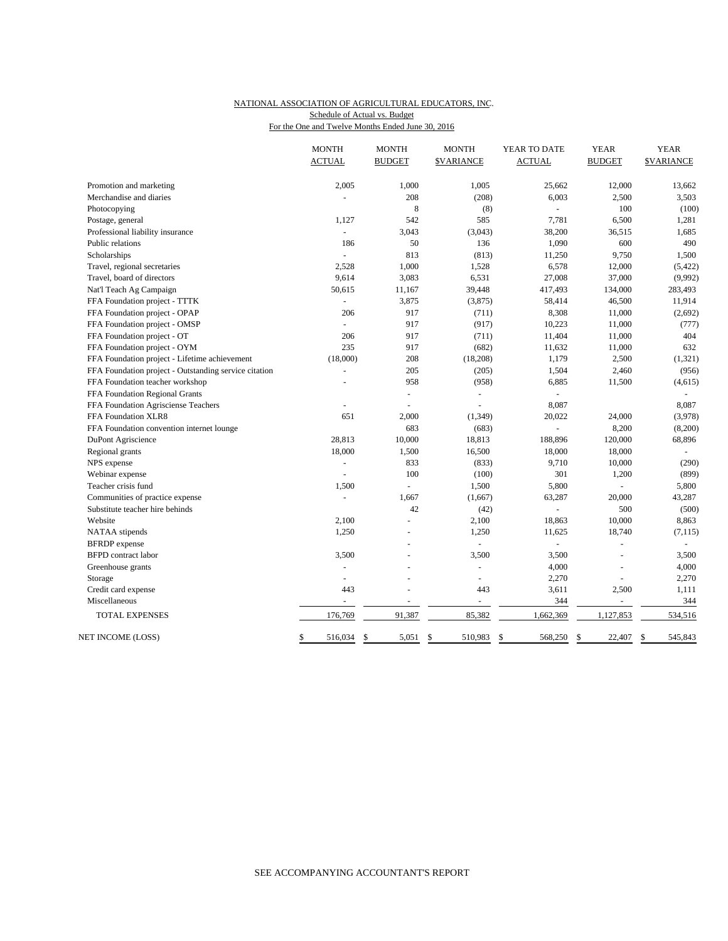#### NATIONAL ASSOCIATION OF AGRICULTURAL EDUCATORS, INC. For the One and Twelve Months Ended June 30, 2016 Schedule of Actual vs. Budget

| <b>BUDGET</b><br><b>ACTUAL</b><br><b>BUDGET</b><br><b>ACTUAL</b><br><b>SVARIANCE</b><br><b>SVARIANCE</b><br>2,005<br>1,000<br>1,005<br>12,000<br>Promotion and marketing<br>25,662<br>13,662<br>208<br>6,003<br>3,503<br>Merchandise and diaries<br>(208)<br>2,500<br>8<br>(8)<br>100<br>(100)<br>Photocopying<br>542<br>585<br>7,781<br>6,500<br>1,281<br>Postage, general<br>1,127<br>36,515<br>1,685<br>Professional liability insurance<br>3,043<br>(3,043)<br>38,200<br>50<br>1,090<br>600<br>490<br>Public relations<br>186<br>136<br>813<br>(813)<br>9,750<br>1,500<br>11,250<br>Scholarships<br>$\omega$<br>1,000<br>6,578<br>2,528<br>1,528<br>12,000<br>(5, 422)<br>Travel, regional secretaries<br>9,614<br>3,083<br>6,531<br>27,008<br>37,000<br>(9,992)<br>Travel, board of directors<br>50,615<br>11,167<br>39,448<br>417,493<br>134,000<br>283,493<br>Nat'l Teach Ag Campaign<br>FFA Foundation project - TTTK<br>3,875<br>(3,875)<br>58,414<br>46,500<br>11,914<br>L,<br>206<br>917<br>8,308<br>(2,692)<br>FFA Foundation project - OPAP<br>(711)<br>11,000<br>10,223<br>FFA Foundation project - OMSP<br>917<br>(917)<br>11,000<br>(777)<br>L.<br>404<br>206<br>917<br>(711)<br>11,404<br>11,000<br>FFA Foundation project - OT<br>235<br>FFA Foundation project - OYM<br>917<br>(682)<br>11,632<br>11,000<br>632<br>(18,000)<br>208<br>1,179<br>(1, 321)<br>FFA Foundation project - Lifetime achievement<br>(18,208)<br>2,500<br>FFA Foundation project - Outstanding service citation<br>205<br>(205)<br>1,504<br>2,460<br>(956)<br>FFA Foundation teacher workshop<br>958<br>(958)<br>6,885<br>11,500<br>(4, 615)<br>$\overline{a}$<br>FFA Foundation Regional Grants<br>÷,<br>8,087<br>FFA Foundation Agrisciense Teachers<br>8,087<br>651<br>2,000<br>20,022<br>24,000<br>(3,978)<br>FFA Foundation XLR8<br>(1, 349)<br>683<br>8,200<br>FFA Foundation convention internet lounge<br>(683)<br>(8,200)<br>28,813<br>10,000<br>18,813<br>188,896<br>120,000<br>68,896<br>DuPont Agriscience<br>18,000<br>1,500<br>16,500<br>18,000<br>18,000<br>Regional grants<br>833<br>9,710<br>(290)<br>NPS expense<br>(833)<br>10,000<br>$\omega$<br>301<br>100<br>(899)<br>Webinar expense<br>(100)<br>1,200<br>$\blacksquare$<br>1,500<br>5,800<br>5,800<br>Teacher crisis fund<br>1,500<br>$\overline{a}$<br>1,667<br>63,287<br>20,000<br>43,287<br>Communities of practice expense<br>(1,667)<br>$\blacksquare$<br>42<br>500<br>(500)<br>Substitute teacher hire behinds<br>(42)<br>ä,<br>2,100<br>18,863<br>10,000<br>8,863<br>Website<br>2,100<br>1,250<br>1,250<br>11,625<br>18,740<br>(7, 115)<br>NATAA stipends<br><b>BFRDP</b> expense<br>$\omega$<br>$\overline{a}$<br>÷.<br>ä,<br><b>BFPD</b> contract labor<br>3,500<br>3,500<br>3,500<br>3,500<br>L,<br>4,000<br>4,000<br>Greenhouse grants<br>$\overline{a}$<br>$\overline{a}$<br>$\overline{a}$<br>2,270<br>2,270<br>Storage<br>L.<br>÷<br>$\sim$<br>Credit card expense<br>443<br>3,611<br>2,500<br>1,111<br>443<br>344<br>344<br>Miscellaneous<br>91,387<br>85,382<br><b>TOTAL EXPENSES</b><br>176,769<br>1,662,369<br>1,127,853<br>534,516<br>568,250<br>545,843<br>516,034<br>\$<br>5,051<br>\$<br>510,983<br>\$<br>22,407<br>\$<br>\$<br>S. |                   | <b>MONTH</b> | <b>MONTH</b> | <b>MONTH</b> | YEAR TO DATE | <b>YEAR</b> | <b>YEAR</b> |
|----------------------------------------------------------------------------------------------------------------------------------------------------------------------------------------------------------------------------------------------------------------------------------------------------------------------------------------------------------------------------------------------------------------------------------------------------------------------------------------------------------------------------------------------------------------------------------------------------------------------------------------------------------------------------------------------------------------------------------------------------------------------------------------------------------------------------------------------------------------------------------------------------------------------------------------------------------------------------------------------------------------------------------------------------------------------------------------------------------------------------------------------------------------------------------------------------------------------------------------------------------------------------------------------------------------------------------------------------------------------------------------------------------------------------------------------------------------------------------------------------------------------------------------------------------------------------------------------------------------------------------------------------------------------------------------------------------------------------------------------------------------------------------------------------------------------------------------------------------------------------------------------------------------------------------------------------------------------------------------------------------------------------------------------------------------------------------------------------------------------------------------------------------------------------------------------------------------------------------------------------------------------------------------------------------------------------------------------------------------------------------------------------------------------------------------------------------------------------------------------------------------------------------------------------------------------------------------------------------------------------------------------------------------------------------------------------------------------------------------------------------------------------------------------------------------------------------------------------------------------------------------------------------------------------------------------------------------------------------------------------------------------------------------------------------------------------------------------------------------------------------------------------------------------------------------------------------------------------|-------------------|--------------|--------------|--------------|--------------|-------------|-------------|
|                                                                                                                                                                                                                                                                                                                                                                                                                                                                                                                                                                                                                                                                                                                                                                                                                                                                                                                                                                                                                                                                                                                                                                                                                                                                                                                                                                                                                                                                                                                                                                                                                                                                                                                                                                                                                                                                                                                                                                                                                                                                                                                                                                                                                                                                                                                                                                                                                                                                                                                                                                                                                                                                                                                                                                                                                                                                                                                                                                                                                                                                                                                                                                                                                            |                   |              |              |              |              |             |             |
|                                                                                                                                                                                                                                                                                                                                                                                                                                                                                                                                                                                                                                                                                                                                                                                                                                                                                                                                                                                                                                                                                                                                                                                                                                                                                                                                                                                                                                                                                                                                                                                                                                                                                                                                                                                                                                                                                                                                                                                                                                                                                                                                                                                                                                                                                                                                                                                                                                                                                                                                                                                                                                                                                                                                                                                                                                                                                                                                                                                                                                                                                                                                                                                                                            |                   |              |              |              |              |             |             |
|                                                                                                                                                                                                                                                                                                                                                                                                                                                                                                                                                                                                                                                                                                                                                                                                                                                                                                                                                                                                                                                                                                                                                                                                                                                                                                                                                                                                                                                                                                                                                                                                                                                                                                                                                                                                                                                                                                                                                                                                                                                                                                                                                                                                                                                                                                                                                                                                                                                                                                                                                                                                                                                                                                                                                                                                                                                                                                                                                                                                                                                                                                                                                                                                                            |                   |              |              |              |              |             |             |
|                                                                                                                                                                                                                                                                                                                                                                                                                                                                                                                                                                                                                                                                                                                                                                                                                                                                                                                                                                                                                                                                                                                                                                                                                                                                                                                                                                                                                                                                                                                                                                                                                                                                                                                                                                                                                                                                                                                                                                                                                                                                                                                                                                                                                                                                                                                                                                                                                                                                                                                                                                                                                                                                                                                                                                                                                                                                                                                                                                                                                                                                                                                                                                                                                            |                   |              |              |              |              |             |             |
|                                                                                                                                                                                                                                                                                                                                                                                                                                                                                                                                                                                                                                                                                                                                                                                                                                                                                                                                                                                                                                                                                                                                                                                                                                                                                                                                                                                                                                                                                                                                                                                                                                                                                                                                                                                                                                                                                                                                                                                                                                                                                                                                                                                                                                                                                                                                                                                                                                                                                                                                                                                                                                                                                                                                                                                                                                                                                                                                                                                                                                                                                                                                                                                                                            |                   |              |              |              |              |             |             |
|                                                                                                                                                                                                                                                                                                                                                                                                                                                                                                                                                                                                                                                                                                                                                                                                                                                                                                                                                                                                                                                                                                                                                                                                                                                                                                                                                                                                                                                                                                                                                                                                                                                                                                                                                                                                                                                                                                                                                                                                                                                                                                                                                                                                                                                                                                                                                                                                                                                                                                                                                                                                                                                                                                                                                                                                                                                                                                                                                                                                                                                                                                                                                                                                                            |                   |              |              |              |              |             |             |
|                                                                                                                                                                                                                                                                                                                                                                                                                                                                                                                                                                                                                                                                                                                                                                                                                                                                                                                                                                                                                                                                                                                                                                                                                                                                                                                                                                                                                                                                                                                                                                                                                                                                                                                                                                                                                                                                                                                                                                                                                                                                                                                                                                                                                                                                                                                                                                                                                                                                                                                                                                                                                                                                                                                                                                                                                                                                                                                                                                                                                                                                                                                                                                                                                            |                   |              |              |              |              |             |             |
|                                                                                                                                                                                                                                                                                                                                                                                                                                                                                                                                                                                                                                                                                                                                                                                                                                                                                                                                                                                                                                                                                                                                                                                                                                                                                                                                                                                                                                                                                                                                                                                                                                                                                                                                                                                                                                                                                                                                                                                                                                                                                                                                                                                                                                                                                                                                                                                                                                                                                                                                                                                                                                                                                                                                                                                                                                                                                                                                                                                                                                                                                                                                                                                                                            |                   |              |              |              |              |             |             |
|                                                                                                                                                                                                                                                                                                                                                                                                                                                                                                                                                                                                                                                                                                                                                                                                                                                                                                                                                                                                                                                                                                                                                                                                                                                                                                                                                                                                                                                                                                                                                                                                                                                                                                                                                                                                                                                                                                                                                                                                                                                                                                                                                                                                                                                                                                                                                                                                                                                                                                                                                                                                                                                                                                                                                                                                                                                                                                                                                                                                                                                                                                                                                                                                                            |                   |              |              |              |              |             |             |
|                                                                                                                                                                                                                                                                                                                                                                                                                                                                                                                                                                                                                                                                                                                                                                                                                                                                                                                                                                                                                                                                                                                                                                                                                                                                                                                                                                                                                                                                                                                                                                                                                                                                                                                                                                                                                                                                                                                                                                                                                                                                                                                                                                                                                                                                                                                                                                                                                                                                                                                                                                                                                                                                                                                                                                                                                                                                                                                                                                                                                                                                                                                                                                                                                            |                   |              |              |              |              |             |             |
|                                                                                                                                                                                                                                                                                                                                                                                                                                                                                                                                                                                                                                                                                                                                                                                                                                                                                                                                                                                                                                                                                                                                                                                                                                                                                                                                                                                                                                                                                                                                                                                                                                                                                                                                                                                                                                                                                                                                                                                                                                                                                                                                                                                                                                                                                                                                                                                                                                                                                                                                                                                                                                                                                                                                                                                                                                                                                                                                                                                                                                                                                                                                                                                                                            |                   |              |              |              |              |             |             |
|                                                                                                                                                                                                                                                                                                                                                                                                                                                                                                                                                                                                                                                                                                                                                                                                                                                                                                                                                                                                                                                                                                                                                                                                                                                                                                                                                                                                                                                                                                                                                                                                                                                                                                                                                                                                                                                                                                                                                                                                                                                                                                                                                                                                                                                                                                                                                                                                                                                                                                                                                                                                                                                                                                                                                                                                                                                                                                                                                                                                                                                                                                                                                                                                                            |                   |              |              |              |              |             |             |
|                                                                                                                                                                                                                                                                                                                                                                                                                                                                                                                                                                                                                                                                                                                                                                                                                                                                                                                                                                                                                                                                                                                                                                                                                                                                                                                                                                                                                                                                                                                                                                                                                                                                                                                                                                                                                                                                                                                                                                                                                                                                                                                                                                                                                                                                                                                                                                                                                                                                                                                                                                                                                                                                                                                                                                                                                                                                                                                                                                                                                                                                                                                                                                                                                            |                   |              |              |              |              |             |             |
|                                                                                                                                                                                                                                                                                                                                                                                                                                                                                                                                                                                                                                                                                                                                                                                                                                                                                                                                                                                                                                                                                                                                                                                                                                                                                                                                                                                                                                                                                                                                                                                                                                                                                                                                                                                                                                                                                                                                                                                                                                                                                                                                                                                                                                                                                                                                                                                                                                                                                                                                                                                                                                                                                                                                                                                                                                                                                                                                                                                                                                                                                                                                                                                                                            |                   |              |              |              |              |             |             |
|                                                                                                                                                                                                                                                                                                                                                                                                                                                                                                                                                                                                                                                                                                                                                                                                                                                                                                                                                                                                                                                                                                                                                                                                                                                                                                                                                                                                                                                                                                                                                                                                                                                                                                                                                                                                                                                                                                                                                                                                                                                                                                                                                                                                                                                                                                                                                                                                                                                                                                                                                                                                                                                                                                                                                                                                                                                                                                                                                                                                                                                                                                                                                                                                                            |                   |              |              |              |              |             |             |
|                                                                                                                                                                                                                                                                                                                                                                                                                                                                                                                                                                                                                                                                                                                                                                                                                                                                                                                                                                                                                                                                                                                                                                                                                                                                                                                                                                                                                                                                                                                                                                                                                                                                                                                                                                                                                                                                                                                                                                                                                                                                                                                                                                                                                                                                                                                                                                                                                                                                                                                                                                                                                                                                                                                                                                                                                                                                                                                                                                                                                                                                                                                                                                                                                            |                   |              |              |              |              |             |             |
|                                                                                                                                                                                                                                                                                                                                                                                                                                                                                                                                                                                                                                                                                                                                                                                                                                                                                                                                                                                                                                                                                                                                                                                                                                                                                                                                                                                                                                                                                                                                                                                                                                                                                                                                                                                                                                                                                                                                                                                                                                                                                                                                                                                                                                                                                                                                                                                                                                                                                                                                                                                                                                                                                                                                                                                                                                                                                                                                                                                                                                                                                                                                                                                                                            |                   |              |              |              |              |             |             |
|                                                                                                                                                                                                                                                                                                                                                                                                                                                                                                                                                                                                                                                                                                                                                                                                                                                                                                                                                                                                                                                                                                                                                                                                                                                                                                                                                                                                                                                                                                                                                                                                                                                                                                                                                                                                                                                                                                                                                                                                                                                                                                                                                                                                                                                                                                                                                                                                                                                                                                                                                                                                                                                                                                                                                                                                                                                                                                                                                                                                                                                                                                                                                                                                                            |                   |              |              |              |              |             |             |
|                                                                                                                                                                                                                                                                                                                                                                                                                                                                                                                                                                                                                                                                                                                                                                                                                                                                                                                                                                                                                                                                                                                                                                                                                                                                                                                                                                                                                                                                                                                                                                                                                                                                                                                                                                                                                                                                                                                                                                                                                                                                                                                                                                                                                                                                                                                                                                                                                                                                                                                                                                                                                                                                                                                                                                                                                                                                                                                                                                                                                                                                                                                                                                                                                            |                   |              |              |              |              |             |             |
|                                                                                                                                                                                                                                                                                                                                                                                                                                                                                                                                                                                                                                                                                                                                                                                                                                                                                                                                                                                                                                                                                                                                                                                                                                                                                                                                                                                                                                                                                                                                                                                                                                                                                                                                                                                                                                                                                                                                                                                                                                                                                                                                                                                                                                                                                                                                                                                                                                                                                                                                                                                                                                                                                                                                                                                                                                                                                                                                                                                                                                                                                                                                                                                                                            |                   |              |              |              |              |             |             |
|                                                                                                                                                                                                                                                                                                                                                                                                                                                                                                                                                                                                                                                                                                                                                                                                                                                                                                                                                                                                                                                                                                                                                                                                                                                                                                                                                                                                                                                                                                                                                                                                                                                                                                                                                                                                                                                                                                                                                                                                                                                                                                                                                                                                                                                                                                                                                                                                                                                                                                                                                                                                                                                                                                                                                                                                                                                                                                                                                                                                                                                                                                                                                                                                                            |                   |              |              |              |              |             |             |
|                                                                                                                                                                                                                                                                                                                                                                                                                                                                                                                                                                                                                                                                                                                                                                                                                                                                                                                                                                                                                                                                                                                                                                                                                                                                                                                                                                                                                                                                                                                                                                                                                                                                                                                                                                                                                                                                                                                                                                                                                                                                                                                                                                                                                                                                                                                                                                                                                                                                                                                                                                                                                                                                                                                                                                                                                                                                                                                                                                                                                                                                                                                                                                                                                            |                   |              |              |              |              |             |             |
|                                                                                                                                                                                                                                                                                                                                                                                                                                                                                                                                                                                                                                                                                                                                                                                                                                                                                                                                                                                                                                                                                                                                                                                                                                                                                                                                                                                                                                                                                                                                                                                                                                                                                                                                                                                                                                                                                                                                                                                                                                                                                                                                                                                                                                                                                                                                                                                                                                                                                                                                                                                                                                                                                                                                                                                                                                                                                                                                                                                                                                                                                                                                                                                                                            |                   |              |              |              |              |             |             |
|                                                                                                                                                                                                                                                                                                                                                                                                                                                                                                                                                                                                                                                                                                                                                                                                                                                                                                                                                                                                                                                                                                                                                                                                                                                                                                                                                                                                                                                                                                                                                                                                                                                                                                                                                                                                                                                                                                                                                                                                                                                                                                                                                                                                                                                                                                                                                                                                                                                                                                                                                                                                                                                                                                                                                                                                                                                                                                                                                                                                                                                                                                                                                                                                                            |                   |              |              |              |              |             |             |
|                                                                                                                                                                                                                                                                                                                                                                                                                                                                                                                                                                                                                                                                                                                                                                                                                                                                                                                                                                                                                                                                                                                                                                                                                                                                                                                                                                                                                                                                                                                                                                                                                                                                                                                                                                                                                                                                                                                                                                                                                                                                                                                                                                                                                                                                                                                                                                                                                                                                                                                                                                                                                                                                                                                                                                                                                                                                                                                                                                                                                                                                                                                                                                                                                            |                   |              |              |              |              |             |             |
|                                                                                                                                                                                                                                                                                                                                                                                                                                                                                                                                                                                                                                                                                                                                                                                                                                                                                                                                                                                                                                                                                                                                                                                                                                                                                                                                                                                                                                                                                                                                                                                                                                                                                                                                                                                                                                                                                                                                                                                                                                                                                                                                                                                                                                                                                                                                                                                                                                                                                                                                                                                                                                                                                                                                                                                                                                                                                                                                                                                                                                                                                                                                                                                                                            |                   |              |              |              |              |             |             |
|                                                                                                                                                                                                                                                                                                                                                                                                                                                                                                                                                                                                                                                                                                                                                                                                                                                                                                                                                                                                                                                                                                                                                                                                                                                                                                                                                                                                                                                                                                                                                                                                                                                                                                                                                                                                                                                                                                                                                                                                                                                                                                                                                                                                                                                                                                                                                                                                                                                                                                                                                                                                                                                                                                                                                                                                                                                                                                                                                                                                                                                                                                                                                                                                                            |                   |              |              |              |              |             |             |
|                                                                                                                                                                                                                                                                                                                                                                                                                                                                                                                                                                                                                                                                                                                                                                                                                                                                                                                                                                                                                                                                                                                                                                                                                                                                                                                                                                                                                                                                                                                                                                                                                                                                                                                                                                                                                                                                                                                                                                                                                                                                                                                                                                                                                                                                                                                                                                                                                                                                                                                                                                                                                                                                                                                                                                                                                                                                                                                                                                                                                                                                                                                                                                                                                            |                   |              |              |              |              |             |             |
|                                                                                                                                                                                                                                                                                                                                                                                                                                                                                                                                                                                                                                                                                                                                                                                                                                                                                                                                                                                                                                                                                                                                                                                                                                                                                                                                                                                                                                                                                                                                                                                                                                                                                                                                                                                                                                                                                                                                                                                                                                                                                                                                                                                                                                                                                                                                                                                                                                                                                                                                                                                                                                                                                                                                                                                                                                                                                                                                                                                                                                                                                                                                                                                                                            |                   |              |              |              |              |             |             |
|                                                                                                                                                                                                                                                                                                                                                                                                                                                                                                                                                                                                                                                                                                                                                                                                                                                                                                                                                                                                                                                                                                                                                                                                                                                                                                                                                                                                                                                                                                                                                                                                                                                                                                                                                                                                                                                                                                                                                                                                                                                                                                                                                                                                                                                                                                                                                                                                                                                                                                                                                                                                                                                                                                                                                                                                                                                                                                                                                                                                                                                                                                                                                                                                                            |                   |              |              |              |              |             |             |
|                                                                                                                                                                                                                                                                                                                                                                                                                                                                                                                                                                                                                                                                                                                                                                                                                                                                                                                                                                                                                                                                                                                                                                                                                                                                                                                                                                                                                                                                                                                                                                                                                                                                                                                                                                                                                                                                                                                                                                                                                                                                                                                                                                                                                                                                                                                                                                                                                                                                                                                                                                                                                                                                                                                                                                                                                                                                                                                                                                                                                                                                                                                                                                                                                            |                   |              |              |              |              |             |             |
|                                                                                                                                                                                                                                                                                                                                                                                                                                                                                                                                                                                                                                                                                                                                                                                                                                                                                                                                                                                                                                                                                                                                                                                                                                                                                                                                                                                                                                                                                                                                                                                                                                                                                                                                                                                                                                                                                                                                                                                                                                                                                                                                                                                                                                                                                                                                                                                                                                                                                                                                                                                                                                                                                                                                                                                                                                                                                                                                                                                                                                                                                                                                                                                                                            |                   |              |              |              |              |             |             |
|                                                                                                                                                                                                                                                                                                                                                                                                                                                                                                                                                                                                                                                                                                                                                                                                                                                                                                                                                                                                                                                                                                                                                                                                                                                                                                                                                                                                                                                                                                                                                                                                                                                                                                                                                                                                                                                                                                                                                                                                                                                                                                                                                                                                                                                                                                                                                                                                                                                                                                                                                                                                                                                                                                                                                                                                                                                                                                                                                                                                                                                                                                                                                                                                                            |                   |              |              |              |              |             |             |
|                                                                                                                                                                                                                                                                                                                                                                                                                                                                                                                                                                                                                                                                                                                                                                                                                                                                                                                                                                                                                                                                                                                                                                                                                                                                                                                                                                                                                                                                                                                                                                                                                                                                                                                                                                                                                                                                                                                                                                                                                                                                                                                                                                                                                                                                                                                                                                                                                                                                                                                                                                                                                                                                                                                                                                                                                                                                                                                                                                                                                                                                                                                                                                                                                            |                   |              |              |              |              |             |             |
|                                                                                                                                                                                                                                                                                                                                                                                                                                                                                                                                                                                                                                                                                                                                                                                                                                                                                                                                                                                                                                                                                                                                                                                                                                                                                                                                                                                                                                                                                                                                                                                                                                                                                                                                                                                                                                                                                                                                                                                                                                                                                                                                                                                                                                                                                                                                                                                                                                                                                                                                                                                                                                                                                                                                                                                                                                                                                                                                                                                                                                                                                                                                                                                                                            |                   |              |              |              |              |             |             |
|                                                                                                                                                                                                                                                                                                                                                                                                                                                                                                                                                                                                                                                                                                                                                                                                                                                                                                                                                                                                                                                                                                                                                                                                                                                                                                                                                                                                                                                                                                                                                                                                                                                                                                                                                                                                                                                                                                                                                                                                                                                                                                                                                                                                                                                                                                                                                                                                                                                                                                                                                                                                                                                                                                                                                                                                                                                                                                                                                                                                                                                                                                                                                                                                                            |                   |              |              |              |              |             |             |
|                                                                                                                                                                                                                                                                                                                                                                                                                                                                                                                                                                                                                                                                                                                                                                                                                                                                                                                                                                                                                                                                                                                                                                                                                                                                                                                                                                                                                                                                                                                                                                                                                                                                                                                                                                                                                                                                                                                                                                                                                                                                                                                                                                                                                                                                                                                                                                                                                                                                                                                                                                                                                                                                                                                                                                                                                                                                                                                                                                                                                                                                                                                                                                                                                            |                   |              |              |              |              |             |             |
|                                                                                                                                                                                                                                                                                                                                                                                                                                                                                                                                                                                                                                                                                                                                                                                                                                                                                                                                                                                                                                                                                                                                                                                                                                                                                                                                                                                                                                                                                                                                                                                                                                                                                                                                                                                                                                                                                                                                                                                                                                                                                                                                                                                                                                                                                                                                                                                                                                                                                                                                                                                                                                                                                                                                                                                                                                                                                                                                                                                                                                                                                                                                                                                                                            |                   |              |              |              |              |             |             |
|                                                                                                                                                                                                                                                                                                                                                                                                                                                                                                                                                                                                                                                                                                                                                                                                                                                                                                                                                                                                                                                                                                                                                                                                                                                                                                                                                                                                                                                                                                                                                                                                                                                                                                                                                                                                                                                                                                                                                                                                                                                                                                                                                                                                                                                                                                                                                                                                                                                                                                                                                                                                                                                                                                                                                                                                                                                                                                                                                                                                                                                                                                                                                                                                                            |                   |              |              |              |              |             |             |
|                                                                                                                                                                                                                                                                                                                                                                                                                                                                                                                                                                                                                                                                                                                                                                                                                                                                                                                                                                                                                                                                                                                                                                                                                                                                                                                                                                                                                                                                                                                                                                                                                                                                                                                                                                                                                                                                                                                                                                                                                                                                                                                                                                                                                                                                                                                                                                                                                                                                                                                                                                                                                                                                                                                                                                                                                                                                                                                                                                                                                                                                                                                                                                                                                            | NET INCOME (LOSS) |              |              |              |              |             |             |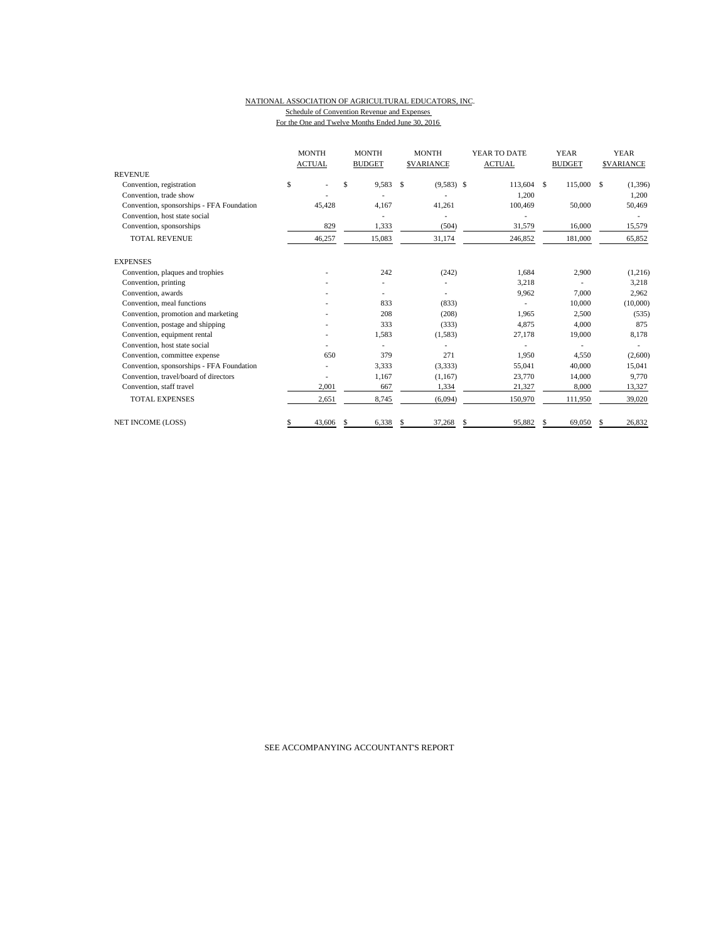#### NATIONAL ASSOCIATION OF AGRICULTURAL EDUCATORS, INC. Schedule of Convention Revenue and Expenses For the One and Twelve Months Ended June 30, 2016

|                                           | <b>MONTH</b><br><b>ACTUAL</b> | <b>MONTH</b><br><b>BUDGET</b> | <b>MONTH</b><br><b>SVARIANCE</b> | YEAR TO DATE<br><b>ACTUAL</b> | <b>YEAR</b><br><b>BUDGET</b> | <b>YEAR</b><br><b>SVARIANCE</b> |  |
|-------------------------------------------|-------------------------------|-------------------------------|----------------------------------|-------------------------------|------------------------------|---------------------------------|--|
| <b>REVENUE</b>                            |                               |                               |                                  |                               |                              |                                 |  |
| Convention, registration                  | \$                            | \$<br>9,583                   | \$<br>$(9,583)$ \$               | 113,604                       | 115,000<br>\$                | S<br>(1, 396)                   |  |
| Convention, trade show                    |                               |                               |                                  | 1,200                         |                              | 1,200                           |  |
| Convention, sponsorships - FFA Foundation | 45,428                        | 4,167                         | 41,261                           | 100,469                       | 50,000                       | 50,469                          |  |
| Convention, host state social             |                               |                               |                                  |                               |                              |                                 |  |
| Convention, sponsorships                  | 829                           | 1,333                         | (504)                            | 31,579                        | 16,000                       | 15,579                          |  |
| <b>TOTAL REVENUE</b>                      | 46,257                        | 15,083                        | 31,174                           | 246,852                       | 181,000                      | 65,852                          |  |
| <b>EXPENSES</b>                           |                               |                               |                                  |                               |                              |                                 |  |
| Convention, plaques and trophies          |                               | 242                           | (242)                            | 1,684                         | 2,900                        | (1,216)                         |  |
| Convention, printing                      |                               |                               |                                  | 3,218                         |                              | 3,218                           |  |
| Convention, awards                        |                               |                               |                                  | 9,962                         | 7,000                        | 2,962                           |  |
| Convention, meal functions                |                               | 833                           | (833)                            |                               | 10,000                       | (10,000)                        |  |
| Convention, promotion and marketing       |                               | 208                           | (208)                            | 1,965                         | 2,500                        | (535)                           |  |
| Convention, postage and shipping          |                               | 333                           | (333)                            | 4.875                         | 4.000                        | 875                             |  |
| Convention, equipment rental              |                               | 1,583                         | (1,583)                          | 27,178                        | 19,000                       | 8,178                           |  |
| Convention, host state social             |                               |                               |                                  |                               |                              |                                 |  |
| Convention, committee expense             | 650                           | 379                           | 271                              | 1,950                         | 4,550                        | (2,600)                         |  |
| Convention, sponsorships - FFA Foundation |                               | 3,333                         | (3,333)                          | 55,041                        | 40,000                       | 15,041                          |  |
| Convention, travel/board of directors     |                               | 1,167                         | (1,167)                          | 23,770                        | 14,000                       | 9,770                           |  |
| Convention, staff travel                  | 2,001                         | 667                           | 1,334                            | 21,327                        | 8,000                        | 13,327                          |  |
| <b>TOTAL EXPENSES</b>                     | 2,651                         | 8,745                         | (6,094)                          | 150,970                       | 111,950                      | 39,020                          |  |
| <b>NET INCOME (LOSS)</b>                  | 43,606                        | 6,338<br>-S                   | 37,268<br>\$                     | 95.882<br>S                   | 69,050<br>S                  | 26.832<br>S                     |  |

SEE ACCOMPANYING ACCOUNTANT'S REPORT